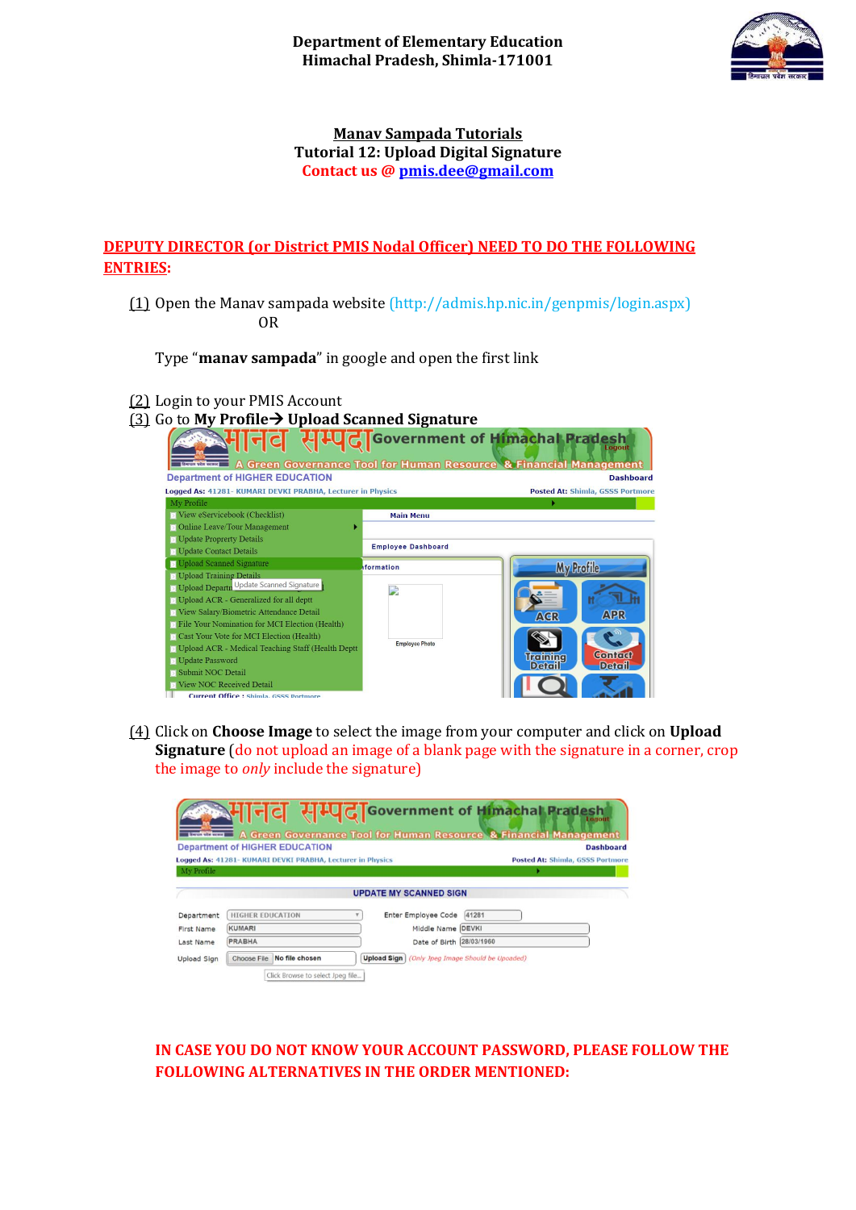

## **Manav Sampada Tutorials Tutorial 12: Upload Digital Signature Contact us [@ pmis.dee@gmail.com](mailto:pmis.dee@gmail.com)**

## **DEPUTY DIRECTOR (or District PMIS Nodal Officer) NEED TO DO THE FOLLOWING ENTRIES:**

(1) Open the Manav sampada website (http://admis.hp.nic.in/genpmis/login.aspx) OR

Type "**manav sampada**" in google and open the first link

(2) Login to your PMIS Account

| $(3)$ Go to My Profile $\rightarrow$ Upload Scanned Signature   |                                              |                                                                             |  |  |  |
|-----------------------------------------------------------------|----------------------------------------------|-----------------------------------------------------------------------------|--|--|--|
| <b>ENTUR VER HORN</b>                                           | <b>400 GT</b> Government of Himachal Pradesh | Logout<br>A Green Governance Tool for Human Resource & Financial Management |  |  |  |
| <b>Department of HIGHER EDUCATION</b>                           |                                              | <b>Dashboard</b>                                                            |  |  |  |
| Logged As: 41281- KUMARI DEVKI PRABHA, Lecturer in Physics      |                                              | <b>Posted At: Shimla, GSSS Portmore</b>                                     |  |  |  |
| My Profile                                                      |                                              |                                                                             |  |  |  |
| View eServicebook (Checklist)                                   | <b>Main Menu</b>                             |                                                                             |  |  |  |
| <b>D</b> Online Leave/Tour Management                           |                                              |                                                                             |  |  |  |
| <b>D</b> Update Proprerty Details                               |                                              |                                                                             |  |  |  |
| <b>N</b> Update Contact Details                                 | <b>Employee Dashboard</b>                    |                                                                             |  |  |  |
| <b>D</b> Upload Scanned Signature                               | <b>iformation</b>                            | <b>My Profile</b>                                                           |  |  |  |
| <b>D</b> Upload Training Details                                |                                              |                                                                             |  |  |  |
| D Upload Departn Update Scanned Signature                       |                                              |                                                                             |  |  |  |
| <b>D</b> Upload ACR - Generalized for all deptt                 |                                              |                                                                             |  |  |  |
| View Salary/Biometric Attendance Detail                         |                                              | <b>APR</b><br><b>AGR</b>                                                    |  |  |  |
| <b>Example 1</b> File Your Nomination for MCI Election (Health) |                                              |                                                                             |  |  |  |
| <b>D</b> Cast Your Vote for MCI Election (Health)               |                                              |                                                                             |  |  |  |
| D Upload ACR - Medical Teaching Staff (Health Deptt             | <b>Employee Photo</b>                        |                                                                             |  |  |  |
| <b>D</b> Update Password                                        |                                              | <b>Contact</b><br><b>Training</b>                                           |  |  |  |
| <b>Submit NOC Detail</b>                                        |                                              | <b>Detail</b><br>Detail                                                     |  |  |  |
| <b>View NOC Received Detail</b>                                 |                                              |                                                                             |  |  |  |
| <b>Current Office: Shimla, GSSS Portmore</b>                    |                                              |                                                                             |  |  |  |

(4) Click on **Choose Image** to select the image from your computer and click on **Upload Signature** (do not upload an image of a blank page with the signature in a corner, crop the image to *only* include the signature)

| <b>Engine who sewed</b> |                                                            |                               | NHI-C HILL G Government of Himachal Pradesh<br>Logout<br>A Green Governance Tool for Human Resource & Financial Management |
|-------------------------|------------------------------------------------------------|-------------------------------|----------------------------------------------------------------------------------------------------------------------------|
|                         | <b>Department of HIGHER EDUCATION</b>                      |                               | <b>Dashboard</b>                                                                                                           |
|                         | Logged As: 41281- KUMARI DEVKI PRABHA, Lecturer in Physics |                               | <b>Posted At: Shimla, GSSS Portmore</b>                                                                                    |
| My Profile              |                                                            |                               |                                                                                                                            |
|                         |                                                            | <b>UPDATE MY SCANNED SIGN</b> |                                                                                                                            |
| Department              | <b>HIGHER EDUCATION</b>                                    | Enter Employee Code           | 41281                                                                                                                      |
| <b>First Name</b>       | <b>KUMARI</b>                                              | Middle Name                   | DEVKI                                                                                                                      |
| Last Name               | <b>PRABHA</b>                                              | Date of Birth                 | 28/03/1960                                                                                                                 |
| Upload Sign             | <b>Choose File</b><br>No file chosen                       | <b>Upload Sign</b>            | (Only Jpeg Image Should be Upoaded)                                                                                        |
|                         | Click Browse to select Jpeg file                           |                               |                                                                                                                            |

**IN CASE YOU DO NOT KNOW YOUR ACCOUNT PASSWORD, PLEASE FOLLOW THE FOLLOWING ALTERNATIVES IN THE ORDER MENTIONED:**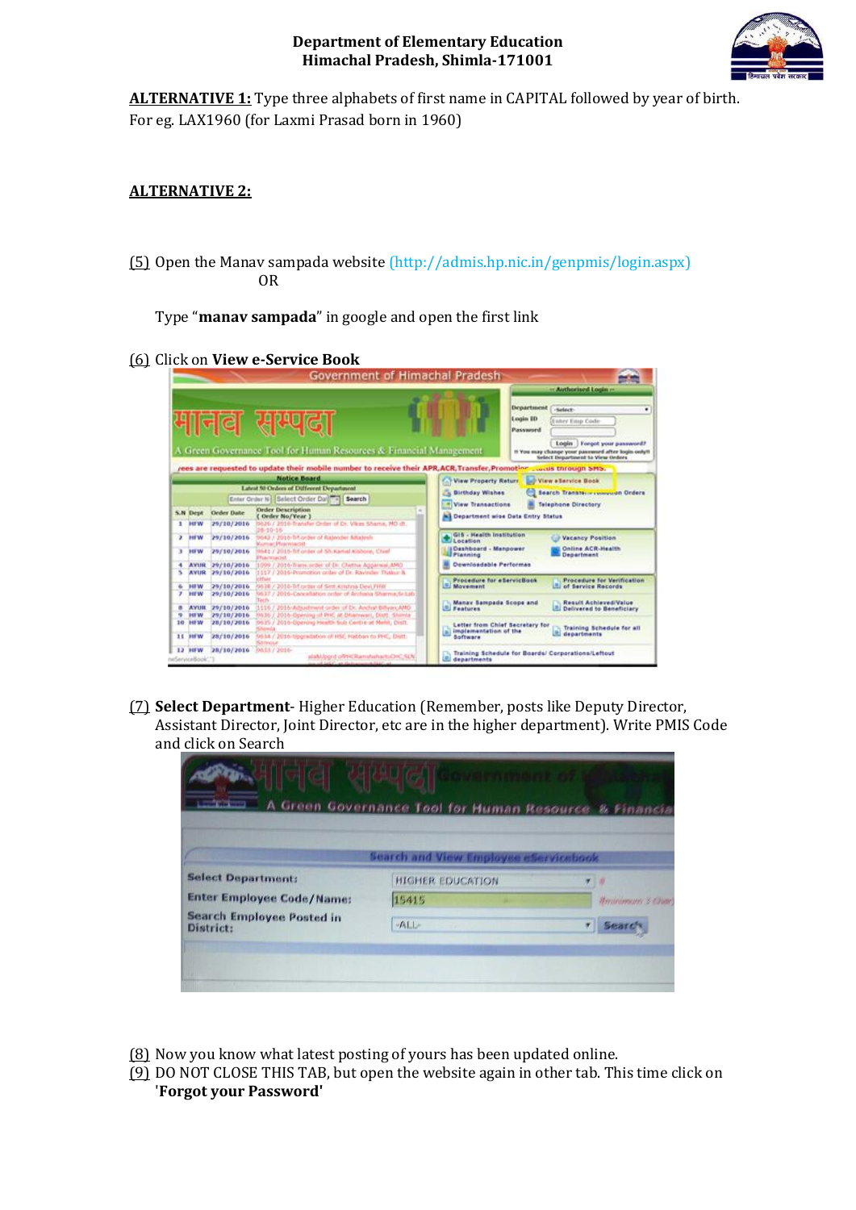

**ALTERNATIVE 1:** Type three alphabets of first name in CAPITAL followed by year of birth. For eg. LAX1960 (for Laxmi Prasad born in 1960)

## **ALTERNATIVE 2:**

(5) Open the Manav sampada website (http://admis.hp.nic.in/genpmis/login.aspx) OR

Type "**manav sampada**" in google and open the first link

(6) Click on **View e-Service Book** 

|         |                             |                          | Government of Himachal Pradesh                                                                                                           |                                                             |                                                                                                                                                                                                                                       |
|---------|-----------------------------|--------------------------|------------------------------------------------------------------------------------------------------------------------------------------|-------------------------------------------------------------|---------------------------------------------------------------------------------------------------------------------------------------------------------------------------------------------------------------------------------------|
|         |                             |                          | मानव सम्पला<br>A Green Governance Tool for Human Resources & Financial Management                                                        |                                                             | - Authorised Login -<br><b>Department</b><br>Select<br>٠<br>Login ID<br><b>Xaner Emp Code</b><br>Password<br>Lonin<br>Forgot your password?<br>If You may change your password after login only!!<br>Select Department to View Orders |
|         |                             |                          | rees are requested to update their mobile number to receive their APR, ACR, Transfer, Promotion  aus through SMS.<br><b>Notice Board</b> |                                                             | C. View Property Return by View a Service Book                                                                                                                                                                                        |
|         |                             |                          | Labort 50 Orders of Different Department                                                                                                 |                                                             |                                                                                                                                                                                                                                       |
|         |                             |                          | Enter Order N   Select Order Dar     Search                                                                                              | <b>Birthday Wishes</b>                                      | Search Transferre recovered Orders                                                                                                                                                                                                    |
|         |                             |                          | <b>Order Description</b><br>$\sim$                                                                                                       | <b>View Transactions</b>                                    | <b>Telephone Directory</b>                                                                                                                                                                                                            |
|         | S.N Dept                    | Order Date               | (Order No/Year )                                                                                                                         | <b>N3 Department wise Data Entry Status</b>                 |                                                                                                                                                                                                                                       |
| ĸ       | <b>BUV</b>                  | 29/10/2016               | 9626 / 2016-Transfer Order of Dr. Vikes Shama, NO dt.<br>28-10-56                                                                        |                                                             |                                                                                                                                                                                                                                       |
|         | 2.101W                      | 29/10/2016               | 9642 / 2016-14 order of Ratender Milatesh                                                                                                | GIS - Health Institution                                    | Vacancy Position                                                                                                                                                                                                                      |
|         |                             |                          | <b>Kumar Puarmarbit</b>                                                                                                                  | Location<br><b>IDsshboard - Manpower</b>                    | Online ACR-Health                                                                                                                                                                                                                     |
| ×       | <b>HFW</b>                  | 29/10/2016               | 9641 / 2010-fit order of Sh.Kamal Kishore, Chief<br><b>Phairmacist</b>                                                                   | Planning                                                    | Department                                                                                                                                                                                                                            |
|         | <b>AVUR</b>                 | 39/10/2016               | 1099 / 2016-Trans.srder of Dr. Chetna Appareial, AMO                                                                                     | Dewnloadable Performas                                      |                                                                                                                                                                                                                                       |
| s       | <b>AVUR</b>                 | 29/10/2016               | 1117 / 2016-Promotion order of Dr. Rayinder Thalice &                                                                                    |                                                             |                                                                                                                                                                                                                                       |
| ٠       | <b>HIW</b>                  | 29/10/2016               | ottua<br>9638 / 2016-TrEnader of Seri Kristina Devi-Firim                                                                                | Procedure for abervicBook<br><b>Movement</b>                | Procedure for Verification<br>d of Service Records                                                                                                                                                                                    |
| ,       | <b>HIW</b>                  | 29/10/2016               | 9637 / 2016-Cancellation prize of Anthana Sharma Sct.ab                                                                                  |                                                             |                                                                                                                                                                                                                                       |
|         |                             |                          | Tach                                                                                                                                     | Manay Sampada Scope and                                     | Result Achieved/Value                                                                                                                                                                                                                 |
| a.<br>۰ | <b>AVIII</b><br><b>HIW</b>  | 29/10/2016<br>29/10/2016 | 1116 / 2016-Adjustment order of Dr. Andral Billvan ARO<br>R636 / 2016-Downing of PHC at Dhamwart, Distt. Shimla                          | <b>B. Eastures</b>                                          | Delivered to Beneficiary                                                                                                                                                                                                              |
|         | 10 HFW                      | 28/10/2016               | 9635 / 2016-Opening Health Sub Centre at Mehh, Dist1.                                                                                    | Letter from Chief Secretary for<br>al implementation of the | Training Schedule for all                                                                                                                                                                                                             |
|         | 11 BILM                     | 28/10/2016               | 9634 / 2016-tiporadation of HSC Habban to PHC, Digtt.<br>Salt Ivisious                                                                   | Software                                                    | departments                                                                                                                                                                                                                           |
|         | 12 HEW<br>heServiceBook".") | 28/10/2016               | 06.11 / 2016-<br>alabidoord off HERamshaharts OKC SLN                                                                                    | departments                                                 | Training Schedule for Boards/ CorporationalLeftout                                                                                                                                                                                    |

(7) **Select Department**- Higher Education (Remember, posts like Deputy Director, Assistant Director, Joint Director, etc are in the higher department). Write PMIS Code and click on Search

| <b>Contract Contract</b>                      | A Green Governance Tool for Human Resource & Financia |                               |
|-----------------------------------------------|-------------------------------------------------------|-------------------------------|
|                                               |                                                       |                               |
|                                               | <b>Search and View Employee eServicebook</b>          |                               |
| <b>Select Department:</b>                     | <b>HIGHER EDUCATION</b>                               |                               |
| <b>Enter Employee Code/Name:</b>              | 15415                                                 | <b>Manufacturers 3 Chance</b> |
| <b>Search Employee Posted in</b><br>District: | $-ALL$                                                |                               |
|                                               |                                                       |                               |

- (8) Now you know what latest posting of yours has been updated online.
- (9) DO NOT CLOSE THIS TAB, but open the website again in other tab. This time click on '**Forgot your Password'**